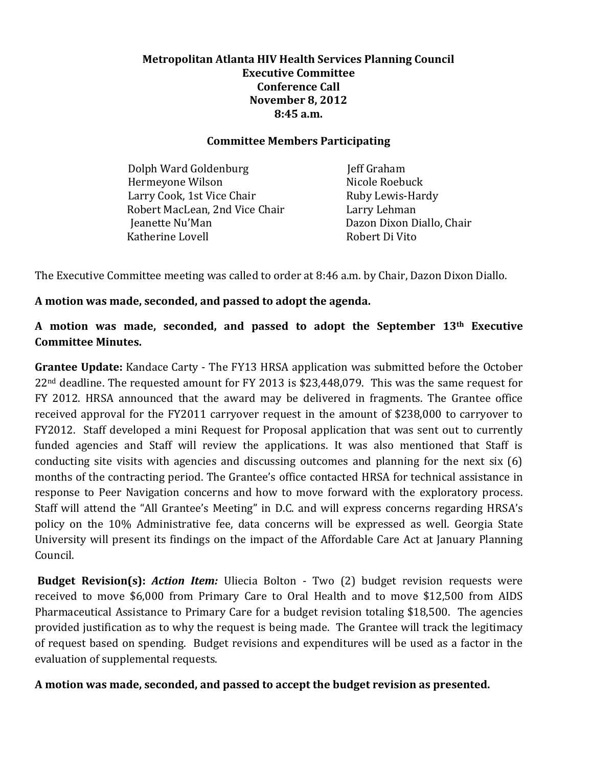## **Metropolitan Atlanta HIV Health Services Planning Council Executive Committee Conference Call November 8, 2012 8:45 a.m.**

## **Committee Members Participating**

Dolph Ward Goldenburg **Jeff Graham** Hermeyone Wilson Nicole Roebuck Larry Cook, 1st Vice Chair Ruby Lewis-Hardy Robert MacLean, 2nd Vice Chair Larry Lehman **Jeanette Nu'Man** Dazon Dixon Diallo, Chair Katherine Lovell **Robert Di Vito** 

The Executive Committee meeting was called to order at 8:46 a.m. by Chair, Dazon Dixon Diallo.

# **A motion was made, seconded, and passed to adopt the agenda.**

**A motion was made, seconded, and passed to adopt the September 13th Executive Committee Minutes.** 

**Grantee Update:** Kandace Carty - The FY13 HRSA application was submitted before the October 22nd deadline. The requested amount for FY 2013 is \$23,448,079. This was the same request for FY 2012. HRSA announced that the award may be delivered in fragments. The Grantee office received approval for the FY2011 carryover request in the amount of \$238,000 to carryover to FY2012. Staff developed a mini Request for Proposal application that was sent out to currently funded agencies and Staff will review the applications. It was also mentioned that Staff is conducting site visits with agencies and discussing outcomes and planning for the next six (6) months of the contracting period. The Grantee's office contacted HRSA for technical assistance in response to Peer Navigation concerns and how to move forward with the exploratory process. Staff will attend the "All Grantee's Meeting" in D.C. and will express concerns regarding HRSA's policy on the 10% Administrative fee, data concerns will be expressed as well. Georgia State University will present its findings on the impact of the Affordable Care Act at January Planning Council.

**Budget Revision(s):** *Action Item:* Uliecia Bolton - Two (2) budget revision requests were received to move \$6,000 from Primary Care to Oral Health and to move \$12,500 from AIDS Pharmaceutical Assistance to Primary Care for a budget revision totaling \$18,500. The agencies provided justification as to why the request is being made. The Grantee will track the legitimacy of request based on spending. Budget revisions and expenditures will be used as a factor in the evaluation of supplemental requests.

**A motion was made, seconded, and passed to accept the budget revision as presented.**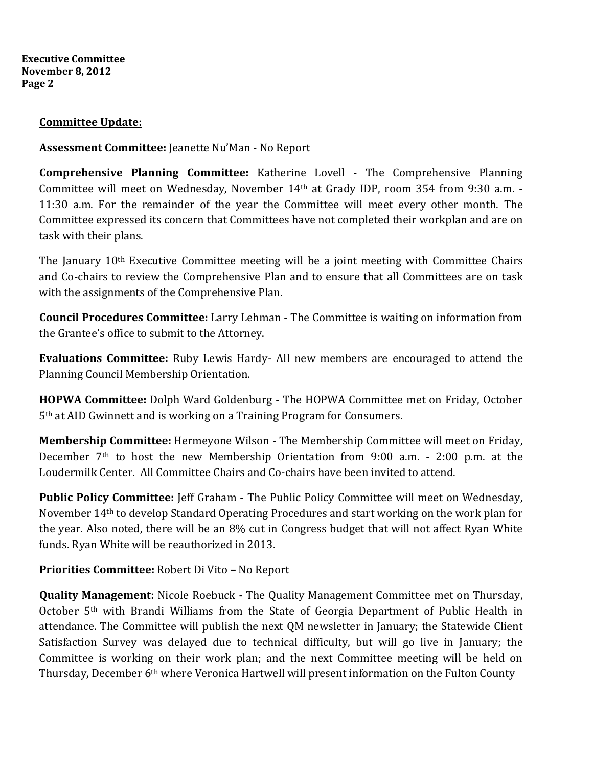**Executive Committee November 8, 2012 Page 2** 

### **Committee Update:**

**Assessment Committee:** Jeanette Nu'Man - No Report

**Comprehensive Planning Committee:** Katherine Lovell - The Comprehensive Planning Committee will meet on Wednesday, November 14th at Grady IDP, room 354 from 9:30 a.m. - 11:30 a.m. For the remainder of the year the Committee will meet every other month. The Committee expressed its concern that Committees have not completed their workplan and are on task with their plans.

The January 10<sup>th</sup> Executive Committee meeting will be a joint meeting with Committee Chairs and Co-chairs to review the Comprehensive Plan and to ensure that all Committees are on task with the assignments of the Comprehensive Plan.

**Council Procedures Committee:** Larry Lehman - The Committee is waiting on information from the Grantee's office to submit to the Attorney.

**Evaluations Committee:** Ruby Lewis Hardy- All new members are encouraged to attend the Planning Council Membership Orientation.

**HOPWA Committee:** Dolph Ward Goldenburg - The HOPWA Committee met on Friday, October 5th at AID Gwinnett and is working on a Training Program for Consumers.

**Membership Committee:** Hermeyone Wilson - The Membership Committee will meet on Friday, December 7th to host the new Membership Orientation from 9:00 a.m. - 2:00 p.m. at the Loudermilk Center. All Committee Chairs and Co-chairs have been invited to attend.

**Public Policy Committee:** Jeff Graham - The Public Policy Committee will meet on Wednesday, November 14th to develop Standard Operating Procedures and start working on the work plan for the year. Also noted, there will be an 8% cut in Congress budget that will not affect Ryan White funds. Ryan White will be reauthorized in 2013.

**Priorities Committee:** Robert Di Vito **–** No Report

**Quality Management:** Nicole Roebuck **-** The Quality Management Committee met on Thursday, October 5th with Brandi Williams from the State of Georgia Department of Public Health in attendance. The Committee will publish the next QM newsletter in January; the Statewide Client Satisfaction Survey was delayed due to technical difficulty, but will go live in January; the Committee is working on their work plan; and the next Committee meeting will be held on Thursday, December 6<sup>th</sup> where Veronica Hartwell will present information on the Fulton County